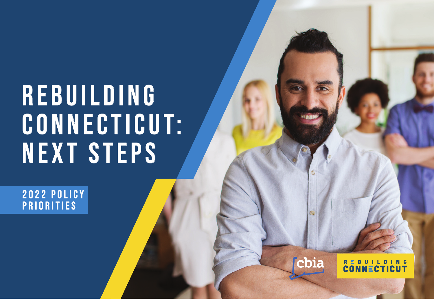# **R E B U I L D I N G CONNECTICUT: NEXT STEPS**

**2022 POLICY PRIORITIES** 

cbia

REBUILDING<br>CONNECTICUT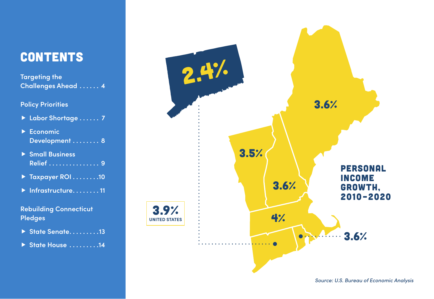# **CONTENTS**

**Targeting the Challenges Ahead . . . . . . 4**

### **Policy Priorities**

- **Labor Shortage . . . . . . 7**
- **Economic Development . . . . . . . . 8**
- **Small Business Relief . . . . . . . . . . . . . . . 9**
- **Taxpayer ROI . . . . . . . 10**
- **Infrastructure . . . . . . . 11**

### **Rebuilding Connecticut Pledges**

- **State Senate . . . . . . . . 13**
- **State House . . . . . . . . 14**



*Source: U.S. Bureau of Economic Analysis*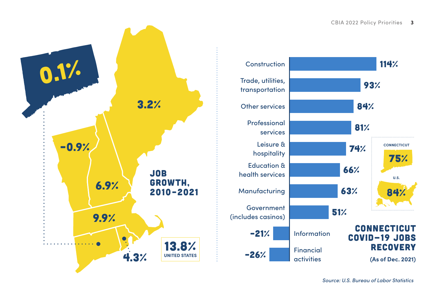



*Source: U.S. Bureau of Labor Statistics*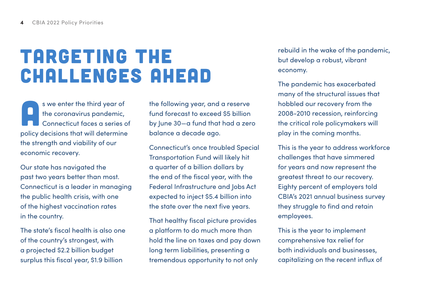# Targeting the Challenges Ahead

s we enter the third year of the coronavirus pandemic, Connecticut faces a series of policy decisions that will determine the strength and viability of our economic recovery.

Our state has navigated the past two years better than most. Connecticut is a leader in managing the public health crisis, with one of the highest vaccination rates in the country.

The state's fiscal health is also one of the country's strongest, with a projected \$2.2 billion budget surplus this fiscal year, \$1.9 billion

the following year, and a reserve fund forecast to exceed \$5 billion by June 30—a fund that had a zero balance a decade ago.

Connecticut's once troubled Special Transportation Fund will likely hit a quarter of a billion dollars by the end of the fiscal year, with the Federal Infrastructure and Jobs Act expected to inject \$5.4 billion into the state over the next five years.

That healthy fiscal picture provides a platform to do much more than hold the line on taxes and pay down long term liabilities, presenting a tremendous opportunity to not only

rebuild in the wake of the pandemic, but develop a robust, vibrant economy.

The pandemic has exacerbated many of the structural issues that hobbled our recovery from the 2008-2010 recession, reinforcing the critical role policymakers will play in the coming months.

This is the year to address workforce challenges that have simmered for years and now represent the greatest threat to our recovery. Eighty percent of employers told CBIA's 2021 annual business survey they struggle to find and retain employees.

This is the year to implement comprehensive tax relief for both individuals and businesses, capitalizing on the recent influx of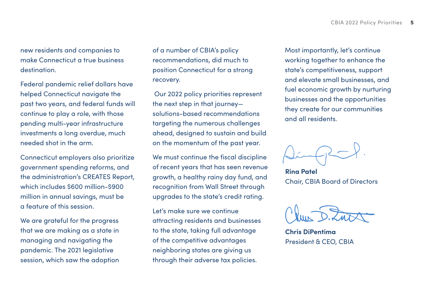new residents and companies to make Connecticut a true business destination.

Federal pandemic relief dollars have helped Connecticut navigate the past two years, and federal funds will continue to play a role, with those pending multi-year infrastructure investments a long overdue, much needed shot in the arm.

Connecticut employers also prioritize government spending reforms, and the administration's CREATES Report, which includes \$600 million-\$900 million in annual savings, must be a feature of this session.

We are grateful for the progress that we are making as a state in managing and navigating the pandemic. The 2021 legislative session, which saw the adoption of a number of CBIA's policy recommendations, did much to position Connecticut for a strong recovery.

 Our 2022 policy priorities represent the next step in that journey solutions-based recommendations targeting the numerous challenges ahead, designed to sustain and build on the momentum of the past year.

We must continue the fiscal discipline of recent years that has seen revenue growth, a healthy rainy day fund, and recognition from Wall Street through upgrades to the state's credit rating.

Let's make sure we continue attracting residents and businesses to the state, taking full advantage of the competitive advantages neighboring states are giving us through their adverse tax policies.

Most importantly, let's continue working together to enhance the state's competitiveness, support and elevate small businesses, and fuel economic growth by nurturing businesses and the opportunities they create for our communities and all residents.

**Rina Patel** Chair, CBIA Board of Directors

**Chris DiPentima** President & CEO, CBIA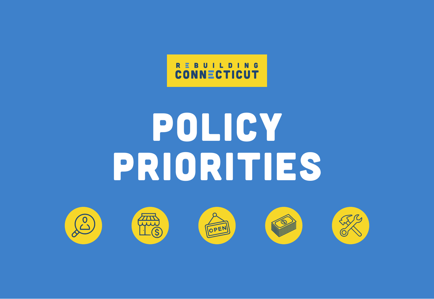

# POLICY PRIORITIES

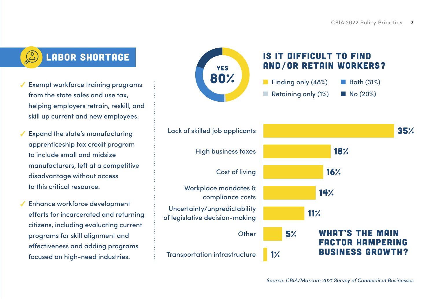

- $\sqrt{\ }$  Exempt workforce training programs from the state sales and use tax, helping employers retrain, reskill, and skill up current and new employees.
- $\checkmark$  Expand the state's manufacturing apprenticeship tax credit program to include small and midsize manufacturers, left at a competitive disadvantage without access to this critical resource.
- $\checkmark$  Enhance workforce development efforts for incarcerated and returning citizens, including evaluating current programs for skill alignment and effectiveness and adding programs focused on high-need industries.





Finding only  $(48%)$  Both  $(31%)$ Retaining only  $(1%)$   $\blacksquare$  No  $(20%)$ 

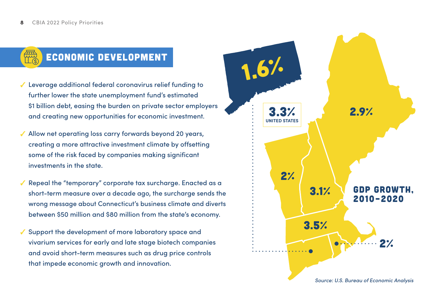# Economic Development

- $\checkmark$  Leverage additional federal coronavirus relief funding to further lower the state unemployment fund's estimated \$1 billion debt, easing the burden on private sector employers and creating new opportunities for economic investment.
- $\sqrt{\ }$  Allow net operating loss carry forwards beyond 20 years, creating a more attractive investment climate by offsetting some of the risk faced by companies making significant investments in the state.
- Repeal the "temporary" corporate tax surcharge. Enacted as a short-term measure over a decade ago, the surcharge sends the wrong message about Connecticut's business climate and diverts between \$50 million and \$80 million from the state's economy.
- $\checkmark$  Support the development of more laboratory space and vivarium services for early and late stage biotech companies and avoid short-term measures such as drug price controls that impede economic growth and innovation.

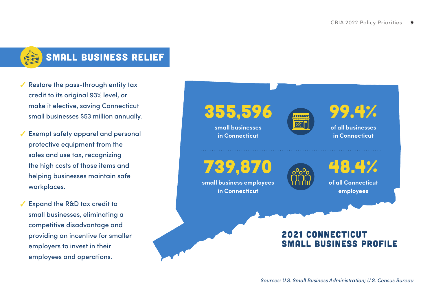

# Small Business Relief

- $\sqrt{\ }$  Restore the pass-through entity tax credit to its original 93% level, or make it elective, saving Connecticut small businesses \$53 million annually.
- $\sqrt{\ }$  Exempt safety apparel and personal protective equipment from the sales and use tax, recognizing the high costs of those items and helping businesses maintain safe workplaces.
- $\sqrt{\phantom{a}}$  Expand the R&D tax credit to small businesses, eliminating a competitive disadvantage and providing an incentive for smaller employers to invest in their employees and operations.

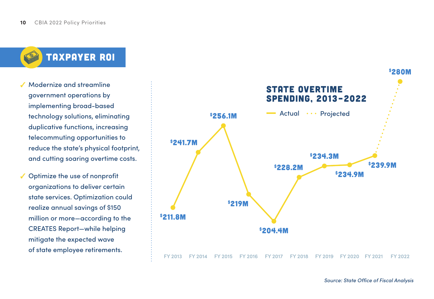

- Modernize and streamline government operations by implementing broad-based technology solutions, eliminating duplicative functions, increasing telecommuting opportunities to reduce the state's physical footprint, and cutting soaring overtime costs.
- $\checkmark$  Optimize the use of nonprofit organizations to deliver certain state services. Optimization could realize annual savings of \$150 million or more—according to the CREATES Report—while helping mitigate the expected wave of state employee retirements.

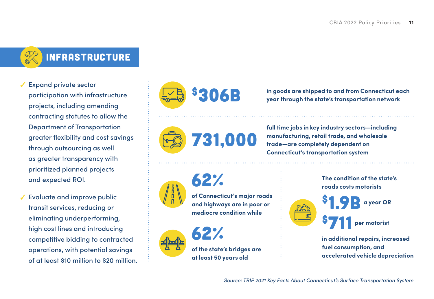# Infrastructure

- $\checkmark$  Expand private sector participation with infrastructure projects, including amending contracting statutes to allow the Department of Transportation greater flexibility and cost savings through outsourcing as well as greater transparency with prioritized planned projects and expected ROI.
- $\checkmark$  Evaluate and improve public transit services, reducing or eliminating underperforming, high cost lines and introducing competitive bidding to contracted operations, with potential savings of at least \$10 million to \$20 million.



\$306B **in goods are shipped to and from Connecticut each year through the state's transportation network**



62%

**full time jobs in key industry sectors—including manufacturing, retail trade, and wholesale trade—are completely dependent on Connecticut's transportation system**



**of Connecticut's major roads and highways are in poor or** 



**mediocre condition while**

**of the state's bridges are at least 50 years old**

**The condition of the state's roads costs motorists**



\$1.9B \$711 **a year OR**

**per motorist**

**in additional repairs, increased fuel consumption, and accelerated vehicle depreciation**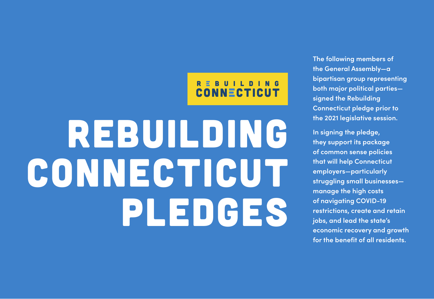# REBUILDING<br>CONNECTICUT

# REBUILDING CONNECTICUT PLEDGES

**The following members of the General Assembly—a bipartisan group representing both major political parties signed the Rebuilding Connecticut pledge prior to the 2021 legislative session.**

**In signing the pledge, they support its package of common sense policies that will help Connecticut employers—particularly struggling small businesses manage the high costs of navigating COVID-19 restrictions, create and retain jobs, and lead the state's economic recovery and growth for the benefit of all residents.**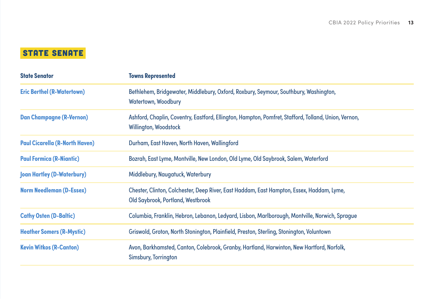## **STATE SENATE**

| <b>State Senator</b>                  | <b>Towns Represented</b>                                                                                                             |
|---------------------------------------|--------------------------------------------------------------------------------------------------------------------------------------|
| <b>Eric Berthel (R-Watertown)</b>     | Bethlehem, Bridgewater, Middlebury, Oxford, Roxbury, Seymour, Southbury, Washington,<br>Watertown, Woodbury                          |
| <b>Dan Champagne (R-Vernon)</b>       | Ashford, Chaplin, Coventry, Eastford, Ellington, Hampton, Pomfret, Stafford, Tolland, Union, Vernon,<br><b>Willington, Woodstock</b> |
| <b>Paul Cicarella (R-North Haven)</b> | Durham, East Haven, North Haven, Wallingford                                                                                         |
| <b>Paul Formica (R-Niantic)</b>       | Bozrah, East Lyme, Montville, New London, Old Lyme, Old Saybrook, Salem, Waterford                                                   |
| <b>Joan Hartley (D-Waterbury)</b>     | Middlebury, Naugatuck, Waterbury                                                                                                     |
| <b>Norm Needleman (D-Essex)</b>       | Chester, Clinton, Colchester, Deep River, East Haddam, East Hampton, Essex, Haddam, Lyme,<br>Old Saybrook, Portland, Westbrook       |
| <b>Cathy Osten (D-Baltic)</b>         | Columbia, Franklin, Hebron, Lebanon, Ledyard, Lisbon, Marlborough, Montville, Norwich, Sprague                                       |
| <b>Heather Somers (R-Mystic)</b>      | Griswold, Groton, North Stonington, Plainfield, Preston, Sterling, Stonington, Voluntown                                             |
| <b>Kevin Witkos (R-Canton)</b>        | Avon, Barkhamsted, Canton, Colebrook, Granby, Hartland, Harwinton, New Hartford, Norfolk,<br>Simsbury, Torrington                    |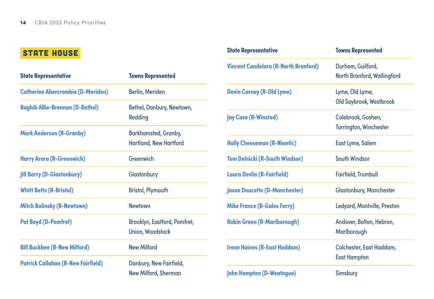## **STATE HOUSE**

| <b>State Representative</b>               | <b>Towns Represented</b>                                     |              |
|-------------------------------------------|--------------------------------------------------------------|--------------|
| <b>Catherine Abercrombie (D-Meriden)</b>  | <b>Berlin, Meriden</b>                                       | <b>Devir</b> |
| <b>Raghib Allie-Brennan (D-Bethel)</b>    | Bethel, Danbury, Newtown,<br>Redding                         | <b>Jay C</b> |
| <b>Mark Anderson (R-Granby)</b>           | <b>Barkhamsted, Granby,</b><br><b>Hartland, New Hartford</b> | <b>Holly</b> |
| <b>Harry Arora (R-Greenwich)</b>          | Greenwich                                                    | Tom I        |
| <b>Jill Barry (D-Glastonbury)</b>         | Glastonbury                                                  | Lauro        |
| <b>Whitt Betts (R-Bristol)</b>            | <b>Bristol, Plymouth</b>                                     | <b>Jasor</b> |
| <b>Mitch Bolinsky (R-Newtown)</b>         | <b>Newtown</b>                                               | <b>Mike</b>  |
| <b>Pat Boyd (D-Pomfret)</b>               | Brooklyn, Eastford, Pomfret,<br><b>Union, Woodstock</b>      | <b>Robir</b> |
| <b>Bill Buckbee (R-New Milford)</b>       | <b>New Milford</b>                                           | <b>Irene</b> |
| <b>Patrick Callahan (R-New Fairfield)</b> | Danbury, New Fairfield,                                      |              |
|                                           | <b>New Milford, Sherman</b>                                  | <b>John</b>  |

| Durham, Guilford,              |
|--------------------------------|
| North Branford, Wallingford    |
| Lyme, Old Lyme,                |
| Old Saybrook, Westbrook        |
| Colebrook, Goshen,             |
| <b>Torrington, Winchester</b>  |
| East Lyme, Salem               |
| South Windsor                  |
| Fairfield, Trumbull            |
| <b>Glastonbury, Manchester</b> |
| Ledyard, Montville, Preston    |
| Andover, Bolton, Hebron,       |
| Marlborough                    |
| Colchester, East Haddam,       |
| <b>East Hampton</b>            |
| <b>Simsbury</b>                |
|                                |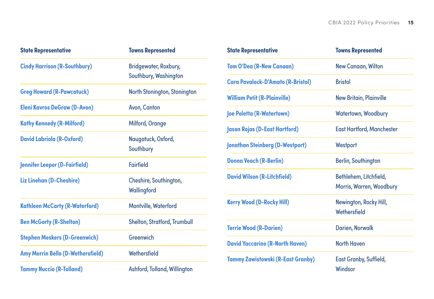| <b>State Representative</b>              | <b>Towns Represented</b>                       |  |
|------------------------------------------|------------------------------------------------|--|
| <b>Cindy Harrison (R-Southbury)</b>      | Bridgewater, Roxbury,<br>Southbury, Washington |  |
| <b>Greg Howard (R-Pawcatuck)</b>         | North Stonington, Stonington                   |  |
| <b>Eleni Kavros DeGraw (D-Avon)</b>      | Avon, Canton                                   |  |
| <b>Kathy Kennedy (R-Milford)</b>         | <b>Milford, Orange</b>                         |  |
| <b>David Labriola (R-Oxford)</b>         | Naugatuck, Oxford,<br>Southbury                |  |
| <b>Jennifer Leeper (D-Fairfield)</b>     | Fairfield                                      |  |
| Liz Linehan (D-Cheshire)                 | Cheshire, Southington,<br>Wallingford          |  |
| <b>Kathleen McCarty (R-Waterford)</b>    | Montville, Waterford                           |  |
| <b>Ben McGorty (R-Shelton)</b>           | Shelton, Stratford, Trumbull                   |  |
| <b>Stephen Meskers (D-Greenwich)</b>     | Greenwich                                      |  |
| <b>Amy Morrin Bello (D-Wethersfield)</b> | Wethersfield                                   |  |
| <b>Tammy Nuccio (R-Tolland)</b>          | Ashford, Tolland, Willington                   |  |

| <b>State Representative</b>              | <b>Towns Represented</b>                           |  |
|------------------------------------------|----------------------------------------------------|--|
| <b>Tom O'Dea (R-New Canaan)</b>          | New Canaan, Wilton                                 |  |
| <b>Cara Pavalock-D'Amato (R-Bristol)</b> | <b>Bristol</b>                                     |  |
| <b>William Petit (R-Plainville)</b>      | <b>New Britain, Plainville</b>                     |  |
| <b>Joe Poletta (R-Watertown)</b>         | Watertown, Woodbury                                |  |
| Jason Rojas (D-East Hartford)            | <b>East Hartford, Manchester</b>                   |  |
| <b>Jonathan Steinberg (D-Westport)</b>   | Westport                                           |  |
| <b>Donna Veach (R-Berlin)</b>            | Berlin, Southington                                |  |
| <b>David Wilson (R-Litchfield)</b>       | Bethlehem, Litchfield,<br>Morris, Warren, Woodbury |  |
| <b>Kerry Wood (D-Rocky Hill)</b>         | Newington, Rocky Hill,<br>Wethersfield             |  |
| <b>Terrie Wood (R-Darien)</b>            | Darien, Norwalk                                    |  |
| <b>David Yaccarino (R-North Haven)</b>   | <b>North Haven</b>                                 |  |
| <b>Tammy Zawistowski (R-East Granby)</b> | East Granby, Suffield,<br>Windsor                  |  |